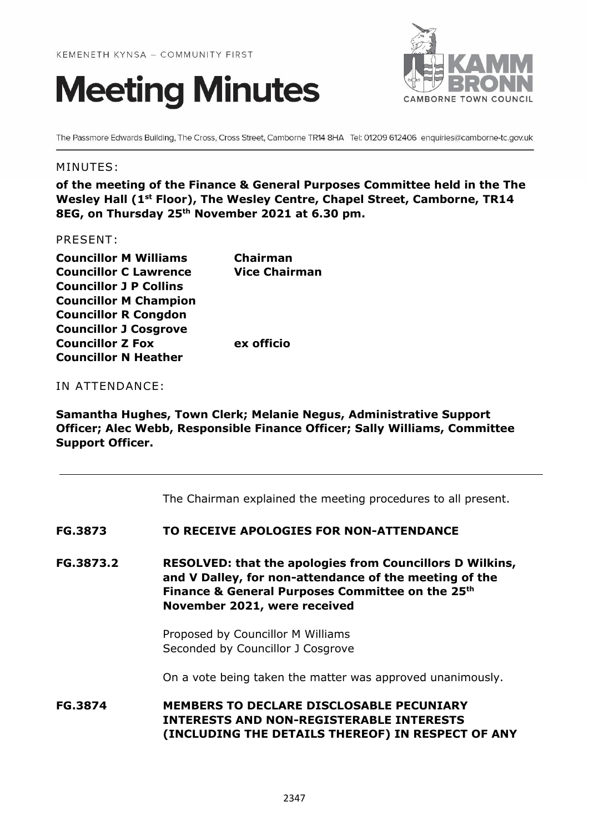



The Passmore Edwards Building, The Cross, Cross Street, Camborne TR14 8HA Tel: 01209 612406 enquiries@camborne-tc.gov.uk

### MINUTES:

**of the meeting of the Finance & General Purposes Committee held in the The Wesley Hall (1st Floor), The Wesley Centre, Chapel Street, Camborne, TR14 8EG, on Thursday 25 th November 2021 at 6.30 pm.**

#### PRESENT:

| <b>Councillor M Williams</b>  | <b>Chairman</b>      |
|-------------------------------|----------------------|
| <b>Councillor C Lawrence</b>  | <b>Vice Chairman</b> |
| <b>Councillor J P Collins</b> |                      |
| <b>Councillor M Champion</b>  |                      |
| <b>Councillor R Congdon</b>   |                      |
| <b>Councillor J Cosgrove</b>  |                      |
| <b>Councillor Z Fox</b>       | ex officio           |
| <b>Councillor N Heather</b>   |                      |

### IN ATTENDANCE:

**Samantha Hughes, Town Clerk; Melanie Negus, Administrative Support Officer; Alec Webb, Responsible Finance Officer; Sally Williams, Committee Support Officer.**

The Chairman explained the meeting procedures to all present.

### **FG.3873 TO RECEIVE APOLOGIES FOR NON-ATTENDANCE**

**FG.3873.2 RESOLVED: that the apologies from Councillors D Wilkins, and V Dalley, for non-attendance of the meeting of the Finance & General Purposes Committee on the 25th November 2021, were received** 

> Proposed by Councillor M Williams Seconded by Councillor J Cosgrove

On a vote being taken the matter was approved unanimously.

**FG.3874 MEMBERS TO DECLARE DISCLOSABLE PECUNIARY INTERESTS AND NON-REGISTERABLE INTERESTS (INCLUDING THE DETAILS THEREOF) IN RESPECT OF ANY**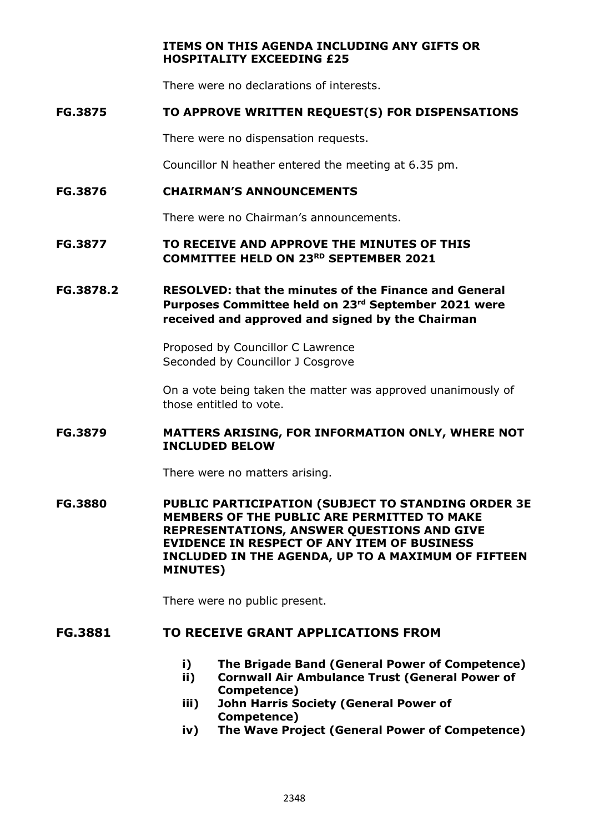### **ITEMS ON THIS AGENDA INCLUDING ANY GIFTS OR HOSPITALITY EXCEEDING £25**

There were no declarations of interests.

### **FG.3875 TO APPROVE WRITTEN REQUEST(S) FOR DISPENSATIONS**

There were no dispensation requests.

Councillor N heather entered the meeting at 6.35 pm.

#### **FG.3876 CHAIRMAN'S ANNOUNCEMENTS**

There were no Chairman's announcements.

### **FG.3877 TO RECEIVE AND APPROVE THE MINUTES OF THIS COMMITTEE HELD ON 23RD SEPTEMBER 2021**

## **FG.3878.2 RESOLVED: that the minutes of the Finance and General Purposes Committee held on 23rd September 2021 were received and approved and signed by the Chairman**

Proposed by Councillor C Lawrence Seconded by Councillor J Cosgrove

On a vote being taken the matter was approved unanimously of those entitled to vote.

### **FG.3879 MATTERS ARISING, FOR INFORMATION ONLY, WHERE NOT INCLUDED BELOW**

There were no matters arising.

**FG.3880 PUBLIC PARTICIPATION (SUBJECT TO STANDING ORDER 3E MEMBERS OF THE PUBLIC ARE PERMITTED TO MAKE REPRESENTATIONS, ANSWER QUESTIONS AND GIVE EVIDENCE IN RESPECT OF ANY ITEM OF BUSINESS INCLUDED IN THE AGENDA, UP TO A MAXIMUM OF FIFTEEN MINUTES)**

There were no public present.

## **FG.3881 TO RECEIVE GRANT APPLICATIONS FROM**

- **i) The Brigade Band (General Power of Competence)**
- **ii) Cornwall Air Ambulance Trust (General Power of Competence)**
- **iii) John Harris Society (General Power of Competence)**
- **iv) The Wave Project (General Power of Competence)**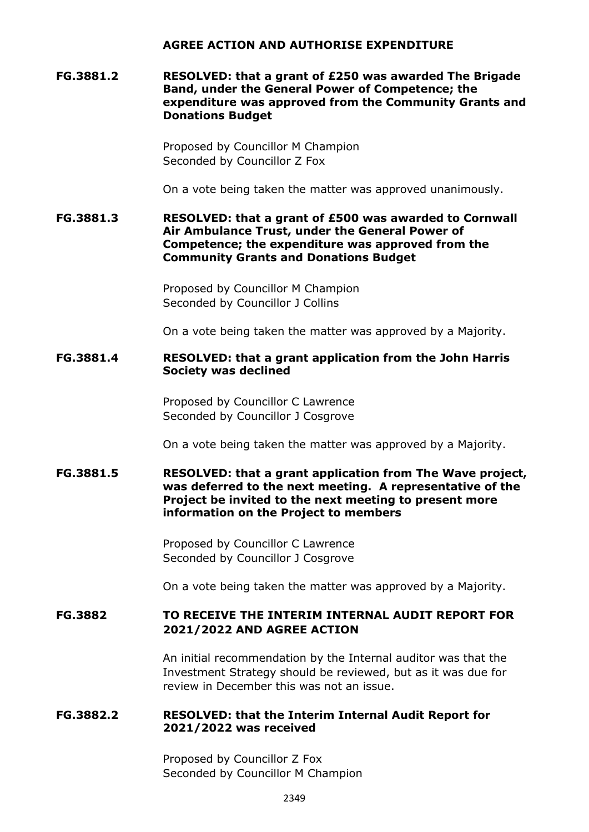#### **AGREE ACTION AND AUTHORISE EXPENDITURE**

### **FG.3881.2 RESOLVED: that a grant of £250 was awarded The Brigade Band, under the General Power of Competence; the expenditure was approved from the Community Grants and Donations Budget**

Proposed by Councillor M Champion Seconded by Councillor Z Fox

On a vote being taken the matter was approved unanimously.

#### **FG.3881.3 RESOLVED: that a grant of £500 was awarded to Cornwall Air Ambulance Trust, under the General Power of Competence; the expenditure was approved from the Community Grants and Donations Budget**

Proposed by Councillor M Champion Seconded by Councillor J Collins

On a vote being taken the matter was approved by a Majority.

### **FG.3881.4 RESOLVED: that a grant application from the John Harris Society was declined**

Proposed by Councillor C Lawrence Seconded by Councillor J Cosgrove

On a vote being taken the matter was approved by a Majority.

### **FG.3881.5 RESOLVED: that a grant application from The Wave project, was deferred to the next meeting. A representative of the Project be invited to the next meeting to present more information on the Project to members**

Proposed by Councillor C Lawrence Seconded by Councillor J Cosgrove

On a vote being taken the matter was approved by a Majority.

## **FG.3882 TO RECEIVE THE INTERIM INTERNAL AUDIT REPORT FOR 2021/2022 AND AGREE ACTION**

An initial recommendation by the Internal auditor was that the Investment Strategy should be reviewed, but as it was due for review in December this was not an issue.

### **FG.3882.2 RESOLVED: that the Interim Internal Audit Report for 2021/2022 was received**

Proposed by Councillor Z Fox Seconded by Councillor M Champion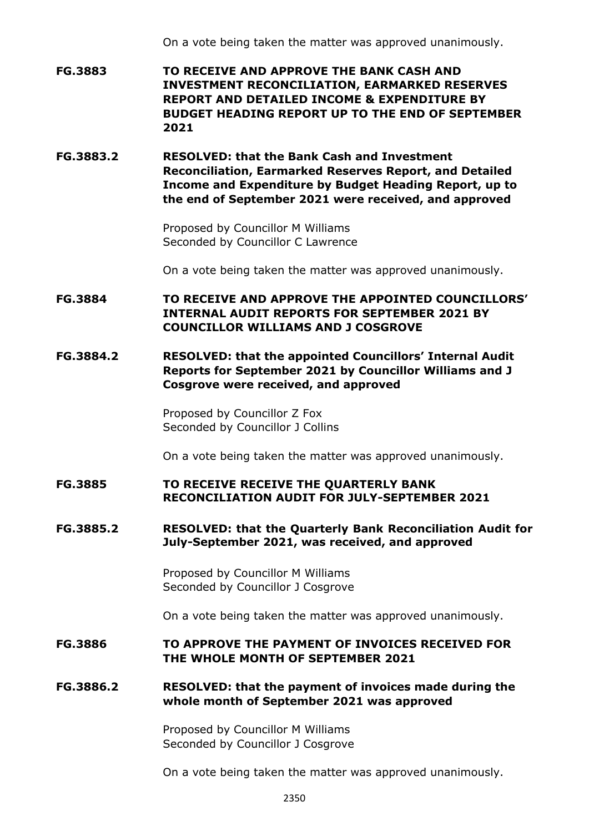On a vote being taken the matter was approved unanimously.

**FG.3883 TO RECEIVE AND APPROVE THE BANK CASH AND INVESTMENT RECONCILIATION, EARMARKED RESERVES REPORT AND DETAILED INCOME & EXPENDITURE BY BUDGET HEADING REPORT UP TO THE END OF SEPTEMBER 2021**

**FG.3883.2 RESOLVED: that the Bank Cash and Investment Reconciliation, Earmarked Reserves Report, and Detailed Income and Expenditure by Budget Heading Report, up to the end of September 2021 were received, and approved**

> Proposed by Councillor M Williams Seconded by Councillor C Lawrence

On a vote being taken the matter was approved unanimously.

**FG.3884 TO RECEIVE AND APPROVE THE APPOINTED COUNCILLORS' INTERNAL AUDIT REPORTS FOR SEPTEMBER 2021 BY COUNCILLOR WILLIAMS AND J COSGROVE**

**FG.3884.2 RESOLVED: that the appointed Councillors' Internal Audit Reports for September 2021 by Councillor Williams and J Cosgrove were received, and approved**

> Proposed by Councillor Z Fox Seconded by Councillor J Collins

On a vote being taken the matter was approved unanimously.

**FG.3885 TO RECEIVE RECEIVE THE QUARTERLY BANK RECONCILIATION AUDIT FOR JULY-SEPTEMBER 2021**

### **FG.3885.2 RESOLVED: that the Quarterly Bank Reconciliation Audit for July-September 2021, was received, and approved**

Proposed by Councillor M Williams Seconded by Councillor J Cosgrove

On a vote being taken the matter was approved unanimously.

**FG.3886 TO APPROVE THE PAYMENT OF INVOICES RECEIVED FOR THE WHOLE MONTH OF SEPTEMBER 2021**

### **FG.3886.2 RESOLVED: that the payment of invoices made during the whole month of September 2021 was approved**

Proposed by Councillor M Williams Seconded by Councillor J Cosgrove

On a vote being taken the matter was approved unanimously.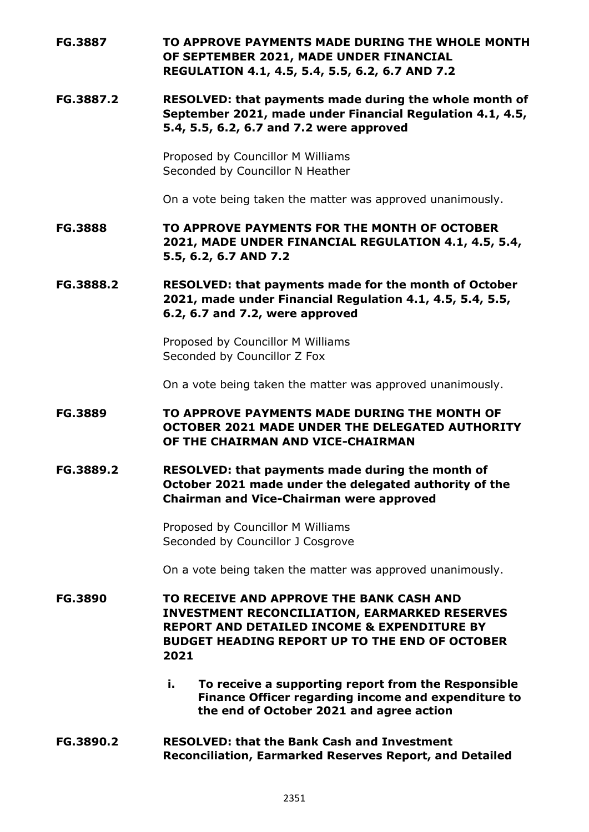# **FG.3887 TO APPROVE PAYMENTS MADE DURING THE WHOLE MONTH OF SEPTEMBER 2021, MADE UNDER FINANCIAL REGULATION 4.1, 4.5, 5.4, 5.5, 6.2, 6.7 AND 7.2**

**FG.3887.2 RESOLVED: that payments made during the whole month of September 2021, made under Financial Regulation 4.1, 4.5, 5.4, 5.5, 6.2, 6.7 and 7.2 were approved**

> Proposed by Councillor M Williams Seconded by Councillor N Heather

On a vote being taken the matter was approved unanimously.

**FG.3888 TO APPROVE PAYMENTS FOR THE MONTH OF OCTOBER 2021, MADE UNDER FINANCIAL REGULATION 4.1, 4.5, 5.4, 5.5, 6.2, 6.7 AND 7.2**

**FG.3888.2 RESOLVED: that payments made for the month of October 2021, made under Financial Regulation 4.1, 4.5, 5.4, 5.5, 6.2, 6.7 and 7.2, were approved**

> Proposed by Councillor M Williams Seconded by Councillor Z Fox

On a vote being taken the matter was approved unanimously.

# **FG.3889 TO APPROVE PAYMENTS MADE DURING THE MONTH OF OCTOBER 2021 MADE UNDER THE DELEGATED AUTHORITY OF THE CHAIRMAN AND VICE-CHAIRMAN**

**FG.3889.2 RESOLVED: that payments made during the month of October 2021 made under the delegated authority of the Chairman and Vice-Chairman were approved**

> Proposed by Councillor M Williams Seconded by Councillor J Cosgrove

On a vote being taken the matter was approved unanimously.

**FG.3890 TO RECEIVE AND APPROVE THE BANK CASH AND INVESTMENT RECONCILIATION, EARMARKED RESERVES REPORT AND DETAILED INCOME & EXPENDITURE BY BUDGET HEADING REPORT UP TO THE END OF OCTOBER 2021**

- **i. To receive a supporting report from the Responsible Finance Officer regarding income and expenditure to the end of October 2021 and agree action**
- **FG.3890.2 RESOLVED: that the Bank Cash and Investment Reconciliation, Earmarked Reserves Report, and Detailed**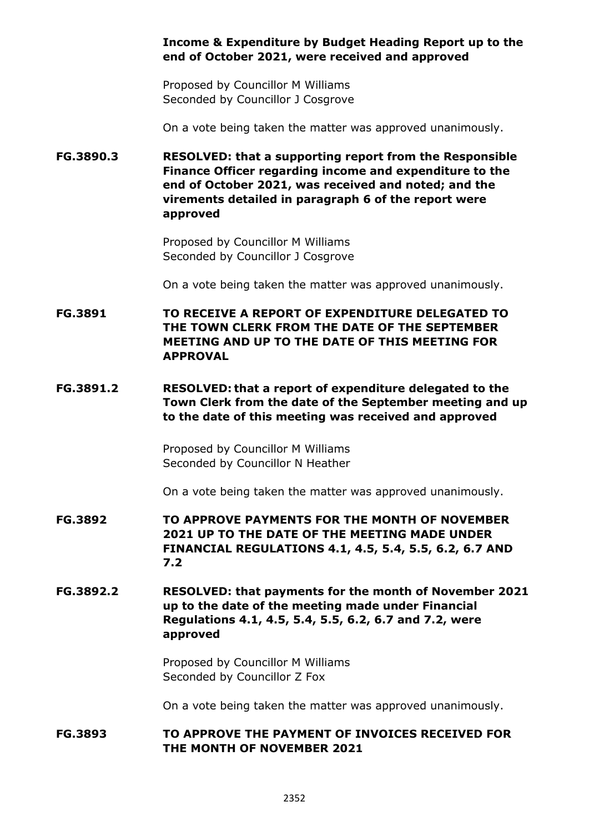## **Income & Expenditure by Budget Heading Report up to the end of October 2021, were received and approved**

Proposed by Councillor M Williams Seconded by Councillor J Cosgrove

On a vote being taken the matter was approved unanimously.

**FG.3890.3 RESOLVED: that a supporting report from the Responsible Finance Officer regarding income and expenditure to the end of October 2021, was received and noted; and the virements detailed in paragraph 6 of the report were approved**

> Proposed by Councillor M Williams Seconded by Councillor J Cosgrove

On a vote being taken the matter was approved unanimously.

**FG.3891 TO RECEIVE A REPORT OF EXPENDITURE DELEGATED TO THE TOWN CLERK FROM THE DATE OF THE SEPTEMBER MEETING AND UP TO THE DATE OF THIS MEETING FOR APPROVAL** 

**FG.3891.2 RESOLVED: that a report of expenditure delegated to the Town Clerk from the date of the September meeting and up to the date of this meeting was received and approved**

> Proposed by Councillor M Williams Seconded by Councillor N Heather

On a vote being taken the matter was approved unanimously.

- **FG.3892 TO APPROVE PAYMENTS FOR THE MONTH OF NOVEMBER 2021 UP TO THE DATE OF THE MEETING MADE UNDER FINANCIAL REGULATIONS 4.1, 4.5, 5.4, 5.5, 6.2, 6.7 AND 7.2**
- **FG.3892.2 RESOLVED: that payments for the month of November 2021 up to the date of the meeting made under Financial Regulations 4.1, 4.5, 5.4, 5.5, 6.2, 6.7 and 7.2, were approved**

Proposed by Councillor M Williams Seconded by Councillor Z Fox

On a vote being taken the matter was approved unanimously.

### **FG.3893 TO APPROVE THE PAYMENT OF INVOICES RECEIVED FOR THE MONTH OF NOVEMBER 2021**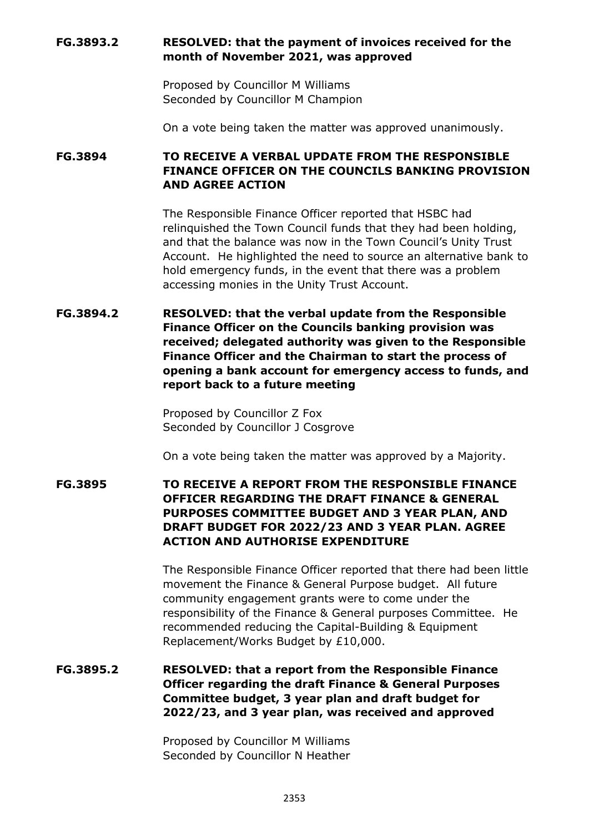## **FG.3893.2 RESOLVED: that the payment of invoices received for the month of November 2021, was approved**

Proposed by Councillor M Williams Seconded by Councillor M Champion

On a vote being taken the matter was approved unanimously.

## **FG.3894 TO RECEIVE A VERBAL UPDATE FROM THE RESPONSIBLE FINANCE OFFICER ON THE COUNCILS BANKING PROVISION AND AGREE ACTION**

The Responsible Finance Officer reported that HSBC had relinquished the Town Council funds that they had been holding, and that the balance was now in the Town Council's Unity Trust Account. He highlighted the need to source an alternative bank to hold emergency funds, in the event that there was a problem accessing monies in the Unity Trust Account.

# **FG.3894.2 RESOLVED: that the verbal update from the Responsible Finance Officer on the Councils banking provision was received; delegated authority was given to the Responsible Finance Officer and the Chairman to start the process of opening a bank account for emergency access to funds, and report back to a future meeting**

Proposed by Councillor Z Fox Seconded by Councillor J Cosgrove

On a vote being taken the matter was approved by a Majority.

## **FG.3895 TO RECEIVE A REPORT FROM THE RESPONSIBLE FINANCE OFFICER REGARDING THE DRAFT FINANCE & GENERAL PURPOSES COMMITTEE BUDGET AND 3 YEAR PLAN, AND DRAFT BUDGET FOR 2022/23 AND 3 YEAR PLAN. AGREE ACTION AND AUTHORISE EXPENDITURE**

The Responsible Finance Officer reported that there had been little movement the Finance & General Purpose budget. All future community engagement grants were to come under the responsibility of the Finance & General purposes Committee. He recommended reducing the Capital-Building & Equipment Replacement/Works Budget by £10,000.

**FG.3895.2 RESOLVED: that a report from the Responsible Finance Officer regarding the draft Finance & General Purposes Committee budget, 3 year plan and draft budget for 2022/23, and 3 year plan, was received and approved** 

> Proposed by Councillor M Williams Seconded by Councillor N Heather